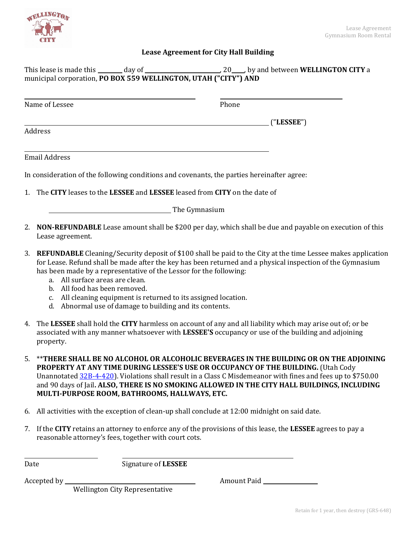

## **Lease Agreement for City Hall Building**

| This lease is made this | day of                                                          |  | , 20 ___, by and between <b>WELLINGTON CITY</b> a |
|-------------------------|-----------------------------------------------------------------|--|---------------------------------------------------|
|                         | municipal corporation, PO BOX 559 WELLINGTON, UTAH ("CITY") AND |  |                                                   |

| Name of Lessee       | Phone                                                                                      |
|----------------------|--------------------------------------------------------------------------------------------|
|                      | ("LESSEE")                                                                                 |
| Address              |                                                                                            |
| <b>Email Address</b> |                                                                                            |
|                      | In consideration of the following conditions and covenants, the parties hereinafter agree: |
|                      | 1. The CITY leases to the LESSEE and LESSEE leased from CITY on the date of                |

**Example 3** The Gymnasium

- 2. **NON-REFUNDABLE** Lease amount shall be \$200 per day, which shall be due and payable on execution of this Lease agreement.
- 3. **REFUNDABLE** Cleaning/Security deposit of \$100 shall be paid to the City at the time Lessee makes application for Lease. Refund shall be made after the key has been returned and a physical inspection of the Gymnasium has been made by a representative of the Lessor for the following:
	- a. All surface areas are clean.
	- b. All food has been removed.
	- c. All cleaning equipment is returned to its assigned location.
	- d. Abnormal use of damage to building and its contents.
- 4. The **LESSEE** shall hold the **CITY** harmless on account of any and all liability which may arise out of; or be associated with any manner whatsoever with **LESSEE'S** occupancy or use of the building and adjoining property.
- 5. \*\***THERE SHALL BE NO ALCOHOL OR ALCOHOLIC BEVERAGES IN THE BUILDING OR ON THE ADJOINING PROPERTY AT ANY TIME DURING LESSEE'S USE OR OCCUPANCY OF THE BUILDING.** (Utah Cody Unannotate[d 32B-4-420\)](https://le.utah.gov/xcode/Title32B/Chapter4/32B-4-S421.html?v=C32B-4-S421_1800010118000101). Violations shall result in a Class C Misdemeanor with fines and fees up to \$750.00 and 90 days of Jail**. ALSO, THERE IS NO SMOKING ALLOWED IN THE CITY HALL BUILDINGS, INCLUDING MULTI-PURPOSE ROOM, BATHROOMS, HALLWAYS, ETC.**
- 6. All activities with the exception of clean-up shall conclude at 12:00 midnight on said date.
- 7. If the **CITY** retains an attorney to enforce any of the provisions of this lease, the **LESSEE** agrees to pay a reasonable attorney's fees, together with court cots.

Date Signature of **LESSEE** 

Accepted by Amount Paid

Wellington City Representative